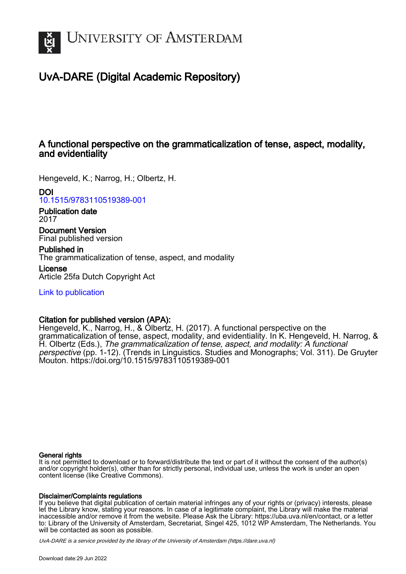

# UvA-DARE (Digital Academic Repository)

### A functional perspective on the grammaticalization of tense, aspect, modality, and evidentiality

Hengeveld, K.; Narrog, H.; Olbertz, H.

DOI

[10.1515/9783110519389-001](https://doi.org/10.1515/9783110519389-001)

Publication date 2017

Document Version Final published version

Published in

The grammaticalization of tense, aspect, and modality

License Article 25fa Dutch Copyright Act

[Link to publication](https://dare.uva.nl/personal/pure/en/publications/a-functional-perspective-on-the-grammaticalization-of-tense-aspect-modality-and-evidentiality(99b024cd-0a53-4bb8-ac3f-f0213c5f82f2).html)

#### Citation for published version (APA):

Hengeveld, K., Narrog, H., & Olbertz, H. (2017). A functional perspective on the grammaticalization of tense, aspect, modality, and evidentiality. In K. Hengeveld, H. Narrog, & H. Olbertz (Eds.), The grammaticalization of tense, aspect, and modality: A functional perspective (pp. 1-12). (Trends in Linguistics. Studies and Monographs; Vol. 311). De Gruyter Mouton. <https://doi.org/10.1515/9783110519389-001>

#### General rights

It is not permitted to download or to forward/distribute the text or part of it without the consent of the author(s) and/or copyright holder(s), other than for strictly personal, individual use, unless the work is under an open content license (like Creative Commons).

#### Disclaimer/Complaints regulations

If you believe that digital publication of certain material infringes any of your rights or (privacy) interests, please let the Library know, stating your reasons. In case of a legitimate complaint, the Library will make the material inaccessible and/or remove it from the website. Please Ask the Library: https://uba.uva.nl/en/contact, or a letter to: Library of the University of Amsterdam, Secretariat, Singel 425, 1012 WP Amsterdam, The Netherlands. You will be contacted as soon as possible.

UvA-DARE is a service provided by the library of the University of Amsterdam (http*s*://dare.uva.nl)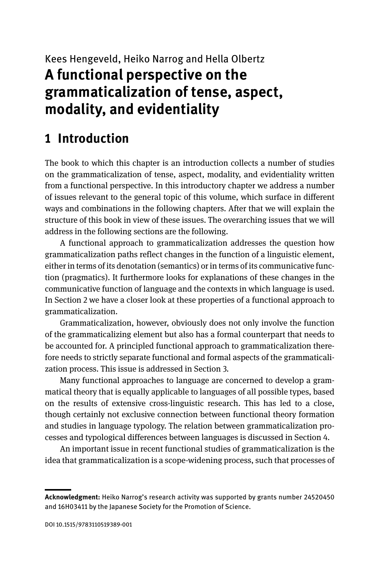# Kees Hengeveld, Heiko Narrog and Hella Olbertz **A functional perspective on the grammaticalization of tense, aspect, modality, and evidentiality**

# **1 Introduction**

The book to which this chapter is an introduction collects a number of studies on the grammaticalization of tense, aspect, modality, and evidentiality written from a functional perspective. In this introductory chapter we address a number of issues relevant to the general topic of this volume, which surface in different ways and combinations in the following chapters. After that we will explain the structure of this book in view of these issues. The overarching issues that we will address in the following sections are the following.

A functional approach to grammaticalization addresses the question how grammaticalization paths reflect changes in the function of a linguistic element, either in terms of its denotation (semantics) or in terms of its communicative function (pragmatics). It furthermore looks for explanations of these changes in the communicative function of language and the contexts in which language is used. In Section 2 we have a closer look at these properties of a functional approach to grammaticalization.

Grammaticalization, however, obviously does not only involve the function of the grammaticalizing element but also has a formal counterpart that needs to be accounted for. A principled functional approach to grammaticalization therefore needs to strictly separate functional and formal aspects of the grammaticalization process. This issue is addressed in Section 3.

Many functional approaches to language are concerned to develop a grammatical theory that is equally applicable to languages of all possible types, based on the results of extensive cross-linguistic research. This has led to a close, though certainly not exclusive connection between functional theory formation and studies in language typology. The relation between grammaticalization processes and typological differences between languages is discussed in Section 4.

An important issue in recent functional studies of grammaticalization is the idea that grammaticalization is a scope-widening process, such that processes of

**Acknowledgment:** Heiko Narrog's research activity was supported by grants number 24520450 and 16H03411 by the Japanese Society for the Promotion of Science.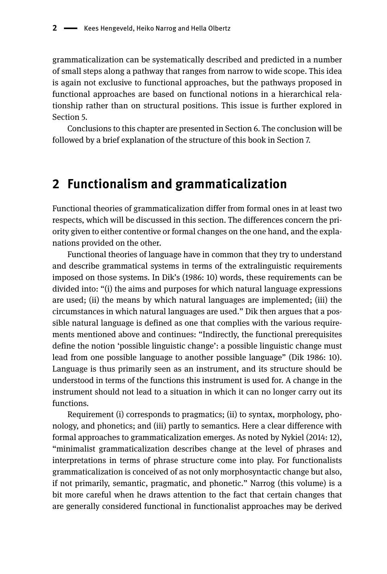grammaticalization can be systematically described and predicted in a number of small steps along a pathway that ranges from narrow to wide scope. This idea is again not exclusive to functional approaches, but the pathways proposed in functional approaches are based on functional notions in a hierarchical relationship rather than on structural positions. This issue is further explored in Section 5.

Conclusions to this chapter are presented in Section 6. The conclusion will be followed by a brief explanation of the structure of this book in Section 7.

### **2 Functionalism and grammaticalization**

Functional theories of grammaticalization differ from formal ones in at least two respects, which will be discussed in this section. The differences concern the priority given to either contentive or formal changes on the one hand, and the explanations provided on the other.

Functional theories of language have in common that they try to understand and describe grammatical systems in terms of the extralinguistic requirements imposed on those systems. In Dik's (1986: 10) words, these requirements can be divided into: "(i) the aims and purposes for which natural language expressions are used; (ii) the means by which natural languages are implemented; (iii) the circumstances in which natural languages are used." Dik then argues that a possible natural language is defined as one that complies with the various requirements mentioned above and continues: "Indirectly, the functional prerequisites define the notion 'possible linguistic change': a possible linguistic change must lead from one possible language to another possible language" (Dik 1986: 10). Language is thus primarily seen as an instrument, and its structure should be understood in terms of the functions this instrument is used for. A change in the instrument should not lead to a situation in which it can no longer carry out its functions.

Requirement (i) corresponds to pragmatics; (ii) to syntax, morphology, phonology, and phonetics; and (iii) partly to semantics. Here a clear difference with formal approaches to grammaticalization emerges. As noted by Nykiel (2014: 12), "minimalist grammaticalization describes change at the level of phrases and interpretations in terms of phrase structure come into play. For functionalists grammaticalization is conceived of as not only morphosyntactic change but also, if not primarily, semantic, pragmatic, and phonetic." Narrog (this volume) is a bit more careful when he draws attention to the fact that certain changes that are generally considered functional in functionalist approaches may be derived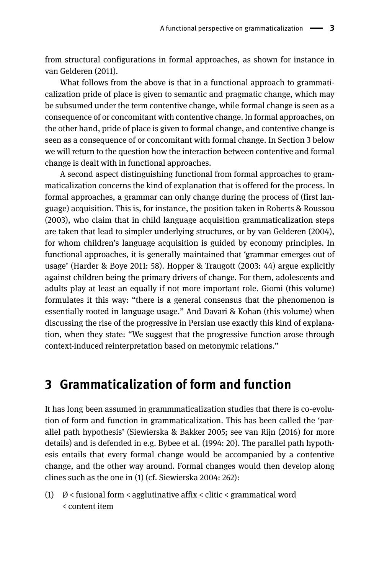from structural configurations in formal approaches, as shown for instance in van Gelderen (2011).

What follows from the above is that in a functional approach to grammaticalization pride of place is given to semantic and pragmatic change, which may be subsumed under the term contentive change, while formal change is seen as a consequence of or concomitant with contentive change. In formal approaches, on the other hand, pride of place is given to formal change, and contentive change is seen as a consequence of or concomitant with formal change. In Section 3 below we will return to the question how the interaction between contentive and formal change is dealt with in functional approaches.

A second aspect distinguishing functional from formal approaches to grammaticalization concerns the kind of explanation that is offered for the process. In formal approaches, a grammar can only change during the process of (first language) acquisition. This is, for instance, the position taken in Roberts & Roussou (2003), who claim that in child language acquisition grammaticalization steps are taken that lead to simpler underlying structures, or by van Gelderen (2004), for whom children's language acquisition is guided by economy principles. In functional approaches, it is generally maintained that 'grammar emerges out of usage' (Harder & Boye 2011: 58). Hopper & Traugott (2003: 44) argue explicitly against children being the primary drivers of change. For them, adolescents and adults play at least an equally if not more important role. Giomi (this volume) formulates it this way: "there is a general consensus that the phenomenon is essentially rooted in language usage." And Davari & Kohan (this volume) when discussing the rise of the progressive in Persian use exactly this kind of explanation, when they state: "We suggest that the progressive function arose through context-induced reinterpretation based on metonymic relations."

# **3 Grammaticalization of form and function**

It has long been assumed in grammmaticalization studies that there is co-evolution of form and function in grammaticalization. This has been called the 'parallel path hypothesis' (Siewierska & Bakker 2005; see van Rijn (2016) for more details) and is defended in e.g. Bybee et al. (1994: 20). The parallel path hypothesis entails that every formal change would be accompanied by a contentive change, and the other way around. Formal changes would then develop along clines such as the one in (1) (cf. Siewierska 2004: 262):

(1)  $\varnothing$  < fusional form < agglutinative affix < clitic < grammatical word < content item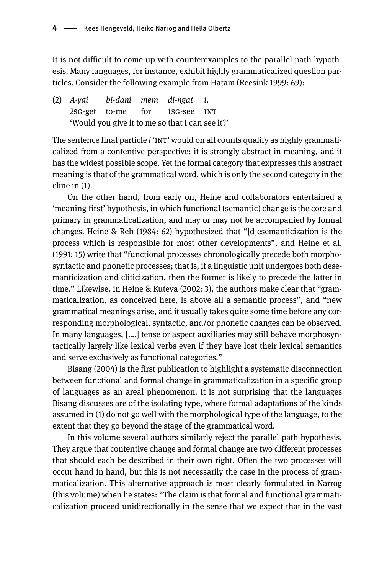It is not difficult to come up with counterexamples to the parallel path hypothesis. Many languages, for instance, exhibit highly grammaticalized question particles. Consider the following example from Hatam (Reesink 1999: 69):

(2) *A-yai bi-dani mem di-ngat i*. 2sg-get to-me for 1sg-see int 'Would you give it to me so that I can see it?'

The sentence final particle *i* 'int' would on all counts qualify as highly grammaticalized from a contentive perspective: it is strongly abstract in meaning, and it has the widest possible scope. Yet the formal category that expresses this abstract meaning is that of the grammatical word, which is only the second category in the cline in (1).

On the other hand, from early on, Heine and collaborators entertained a 'meaning-first' hypothesis, in which functional (semantic) change is the core and primary in grammaticalization, and may or may not be accompanied by formal changes. Heine & Reh (1984: 62) hypothesized that "[d]esemanticization is the process which is responsible for most other developments", and Heine et al. (1991: 15) write that "functional processes chronologically precede both morphosyntactic and phonetic processes; that is, if a linguistic unit undergoes both desemanticization and cliticization, then the former is likely to precede the latter in time." Likewise, in Heine & Kuteva (2002: 3), the authors make clear that "grammaticalization, as conceived here, is above all a semantic process", and "new grammatical meanings arise, and it usually takes quite some time before any corresponding morphological, syntactic, and/or phonetic changes can be observed. In many languages, [….] tense or aspect auxiliaries may still behave morphosyntactically largely like lexical verbs even if they have lost their lexical semantics and serve exclusively as functional categories."

Bisang (2004) is the first publication to highlight a systematic disconnection between functional and formal change in grammaticalization in a specific group of languages as an areal phenomenon. It is not surprising that the languages Bisang discusses are of the isolating type, where formal adaptations of the kinds assumed in (1) do not go well with the morphological type of the language, to the extent that they go beyond the stage of the grammatical word.

In this volume several authors similarly reject the parallel path hypothesis. They argue that contentive change and formal change are two different processes that should each be described in their own right. Often the two processes will occur hand in hand, but this is not necessarily the case in the process of grammaticalization. This alternative approach is most clearly formulated in Narrog (this volume) when he states: "The claim is that formal and functional grammaticalization proceed unidirectionally in the sense that we expect that in the vast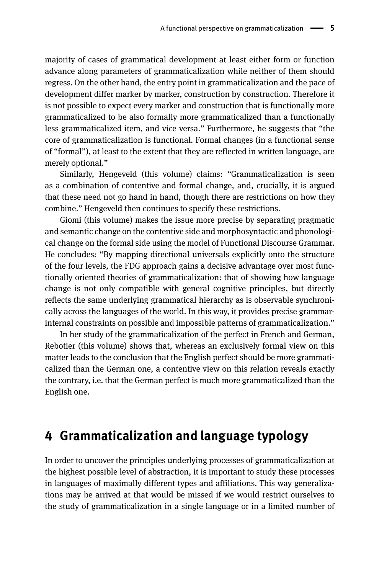majority of cases of grammatical development at least either form or function advance along parameters of grammaticalization while neither of them should regress. On the other hand, the entry point in grammaticalization and the pace of development differ marker by marker, construction by construction. Therefore it is not possible to expect every marker and construction that is functionally more grammaticalized to be also formally more grammaticalized than a functionally less grammaticalized item, and vice versa." Furthermore, he suggests that "the core of grammaticalization is functional. Formal changes (in a functional sense of "formal"), at least to the extent that they are reflected in written language, are merely optional."

Similarly, Hengeveld (this volume) claims: "Grammaticalization is seen as a combination of contentive and formal change, and, crucially, it is argued that these need not go hand in hand, though there are restrictions on how they combine." Hengeveld then continues to specify these restrictions.

Giomi (this volume) makes the issue more precise by separating pragmatic and semantic change on the contentive side and morphosyntactic and phonological change on the formal side using the model of Functional Discourse Grammar. He concludes: "By mapping directional universals explicitly onto the structure of the four levels, the FDG approach gains a decisive advantage over most functionally oriented theories of grammaticalization: that of showing how language change is not only compatible with general cognitive principles, but directly reflects the same underlying grammatical hierarchy as is observable synchronically across the languages of the world. In this way, it provides precise grammarinternal constraints on possible and impossible patterns of grammaticalization."

In her study of the grammaticalization of the perfect in French and German, Rebotier (this volume) shows that, whereas an exclusively formal view on this matter leads to the conclusion that the English perfect should be more grammaticalized than the German one, a contentive view on this relation reveals exactly the contrary, i.e. that the German perfect is much more grammaticalized than the English one.

### **4 Grammaticalization and language typology**

In order to uncover the principles underlying processes of grammaticalization at the highest possible level of abstraction, it is important to study these processes in languages of maximally different types and affiliations. This way generalizations may be arrived at that would be missed if we would restrict ourselves to the study of grammaticalization in a single language or in a limited number of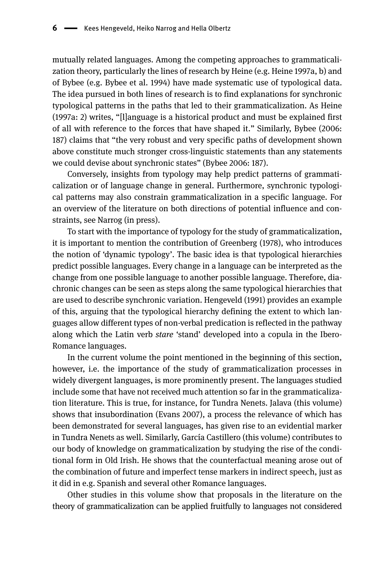mutually related languages. Among the competing approaches to grammaticalization theory, particularly the lines of research by Heine (e.g. Heine 1997a, b) and of Bybee (e.g. Bybee et al. 1994) have made systematic use of typological data. The idea pursued in both lines of research is to find explanations for synchronic typological patterns in the paths that led to their grammaticalization. As Heine (1997a: 2) writes, "[l]anguage is a historical product and must be explained first of all with reference to the forces that have shaped it." Similarly, Bybee (2006: 187) claims that "the very robust and very specific paths of development shown above constitute much stronger cross-linguistic statements than any statements we could devise about synchronic states" (Bybee 2006: 187).

Conversely, insights from typology may help predict patterns of grammaticalization or of language change in general. Furthermore, synchronic typological patterns may also constrain grammaticalization in a specific language. For an overview of the literature on both directions of potential influence and constraints, see Narrog (in press).

To start with the importance of typology for the study of grammaticalization, it is important to mention the contribution of Greenberg (1978), who introduces the notion of 'dynamic typology'. The basic idea is that typological hierarchies predict possible languages. Every change in a language can be interpreted as the change from one possible language to another possible language. Therefore, diachronic changes can be seen as steps along the same typological hierarchies that are used to describe synchronic variation. Hengeveld (1991) provides an example of this, arguing that the typological hierarchy defining the extent to which languages allow different types of non-verbal predication is reflected in the pathway along which the Latin verb *stare* 'stand' developed into a copula in the Ibero-Romance languages.

In the current volume the point mentioned in the beginning of this section, however, i.e. the importance of the study of grammaticalization processes in widely divergent languages, is more prominently present. The languages studied include some that have not received much attention so far in the grammaticalization literature. This is true, for instance, for Tundra Nenets. Jalava (this volume) shows that insubordination (Evans 2007), a process the relevance of which has been demonstrated for several languages, has given rise to an evidential marker in Tundra Nenets as well. Similarly, García Castillero (this volume) contributes to our body of knowledge on grammaticalization by studying the rise of the conditional form in Old Irish. He shows that the counterfactual meaning arose out of the combination of future and imperfect tense markers in indirect speech, just as it did in e.g. Spanish and several other Romance languages.

Other studies in this volume show that proposals in the literature on the theory of grammaticalization can be applied fruitfully to languages not considered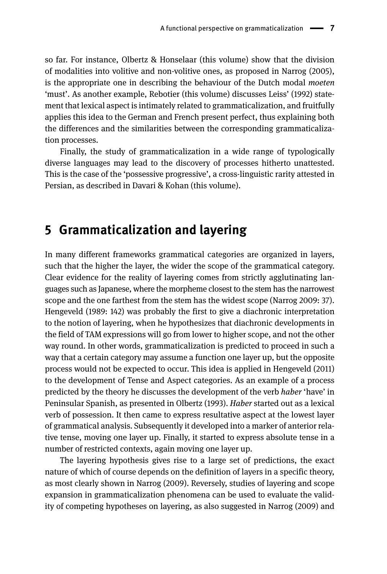so far. For instance, Olbertz & Honselaar (this volume) show that the division of modalities into volitive and non-volitive ones, as proposed in Narrog (2005), is the appropriate one in describing the behaviour of the Dutch modal *moeten* 'must'. As another example, Rebotier (this volume) discusses Leiss' (1992) statement that lexical aspect is intimately related to grammaticalization, and fruitfully applies this idea to the German and French present perfect, thus explaining both the differences and the similarities between the corresponding grammaticalization processes.

Finally, the study of grammaticalization in a wide range of typologically diverse languages may lead to the discovery of processes hitherto unattested. This is the case of the 'possessive progressive', a cross-linguistic rarity attested in Persian, as described in Davari & Kohan (this volume).

#### **5 Grammaticalization and layering**

In many different frameworks grammatical categories are organized in layers, such that the higher the layer, the wider the scope of the grammatical category. Clear evidence for the reality of layering comes from strictly agglutinating languages such as Japanese, where the morpheme closest to the stem has the narrowest scope and the one farthest from the stem has the widest scope (Narrog 2009: 37). Hengeveld (1989: 142) was probably the first to give a diachronic interpretation to the notion of layering, when he hypothesizes that diachronic developments in the field of TAM expressions will go from lower to higher scope, and not the other way round. In other words, grammaticalization is predicted to proceed in such a way that a certain category may assume a function one layer up, but the opposite process would not be expected to occur. This idea is applied in Hengeveld (2011) to the development of Tense and Aspect categories. As an example of a process predicted by the theory he discusses the development of the verb *haber* 'have' in Peninsular Spanish, as presented in Olbertz (1993). *Haber* started out as a lexical verb of possession. It then came to express resultative aspect at the lowest layer of grammatical analysis. Subsequently it developed into a marker of anterior relative tense, moving one layer up. Finally, it started to express absolute tense in a number of restricted contexts, again moving one layer up.

The layering hypothesis gives rise to a large set of predictions, the exact nature of which of course depends on the definition of layers in a specific theory, as most clearly shown in Narrog (2009). Reversely, studies of layering and scope expansion in grammaticalization phenomena can be used to evaluate the validity of competing hypotheses on layering, as also suggested in Narrog (2009) and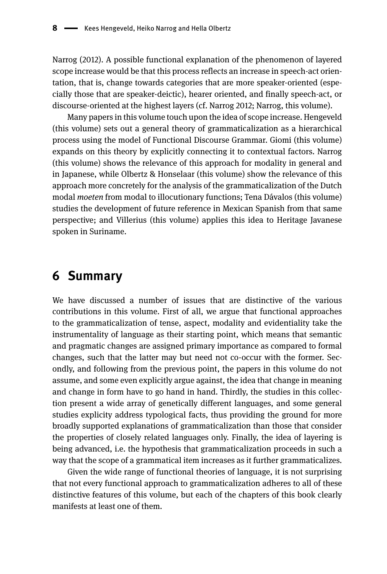Narrog (2012). A possible functional explanation of the phenomenon of layered scope increase would be that this process reflects an increase in speech-act orientation, that is, change towards categories that are more speaker-oriented (especially those that are speaker-deictic), hearer oriented, and finally speech-act, or discourse-oriented at the highest layers (cf. Narrog 2012; Narrog, this volume).

Many papers in this volume touch upon the idea of scope increase. Hengeveld (this volume) sets out a general theory of grammaticalization as a hierarchical process using the model of Functional Discourse Grammar. Giomi (this volume) expands on this theory by explicitly connecting it to contextual factors. Narrog (this volume) shows the relevance of this approach for modality in general and in Japanese, while Olbertz & Honselaar (this volume) show the relevance of this approach more concretely for the analysis of the grammaticalization of the Dutch modal *moeten* from modal to illocutionary functions; Tena Dávalos (this volume) studies the development of future reference in Mexican Spanish from that same perspective; and Villerius (this volume) applies this idea to Heritage Javanese spoken in Suriname.

#### **6 Summary**

We have discussed a number of issues that are distinctive of the various contributions in this volume. First of all, we argue that functional approaches to the grammaticalization of tense, aspect, modality and evidentiality take the instrumentality of language as their starting point, which means that semantic and pragmatic changes are assigned primary importance as compared to formal changes, such that the latter may but need not co-occur with the former. Secondly, and following from the previous point, the papers in this volume do not assume, and some even explicitly argue against, the idea that change in meaning and change in form have to go hand in hand. Thirdly, the studies in this collection present a wide array of genetically different languages, and some general studies explicity address typological facts, thus providing the ground for more broadly supported explanations of grammaticalization than those that consider the properties of closely related languages only. Finally, the idea of layering is being advanced, i.e. the hypothesis that grammaticalization proceeds in such a way that the scope of a grammatical item increases as it further grammaticalizes.

Given the wide range of functional theories of language, it is not surprising that not every functional approach to grammaticalization adheres to all of these distinctive features of this volume, but each of the chapters of this book clearly manifests at least one of them.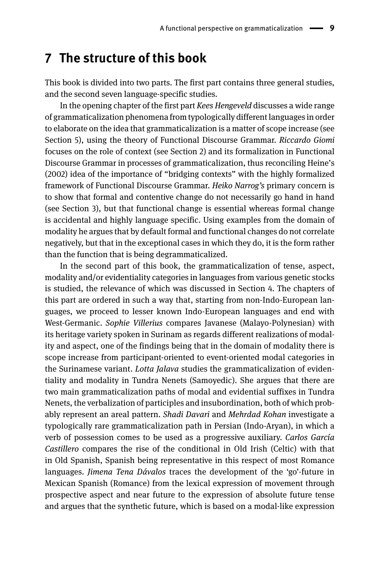# **7 The structure of this book**

This book is divided into two parts. The first part contains three general studies, and the second seven language-specific studies.

In the opening chapter of the first part *Kees Hengeveld* discusses a wide range of grammaticalization phenomena from typologically different languages in order to elaborate on the idea that grammaticalization is a matter of scope increase (see Section 5), using the theory of Functional Discourse Grammar. *Riccardo Giomi* focuses on the role of context (see Section 2) and its formalization in Functional Discourse Grammar in processes of grammaticalization, thus reconciling Heine's (2002) idea of the importance of "bridging contexts" with the highly formalized framework of Functional Discourse Grammar. *Heiko Narrog's* primary concern is to show that formal and contentive change do not necessarily go hand in hand (see Section 3), but that functional change is essential whereas formal change is accidental and highly language specific. Using examples from the domain of modality he argues that by default formal and functional changes do not correlate negatively, but that in the exceptional cases in which they do, it is the form rather than the function that is being degrammaticalized.

In the second part of this book, the grammaticalization of tense, aspect, modality and/or evidentiality categories in languages from various genetic stocks is studied, the relevance of which was discussed in Section 4. The chapters of this part are ordered in such a way that, starting from non-Indo-European languages, we proceed to lesser known Indo-European languages and end with West-Germanic. *Sophie Villerius* compares Javanese (Malayo-Polynesian) with its heritage variety spoken in Surinam as regards different realizations of modality and aspect, one of the findings being that in the domain of modality there is scope increase from participant-oriented to event-oriented modal categories in the Surinamese variant. *Lotta Jalava* studies the grammaticalization of evidentiality and modality in Tundra Nenets (Samoyedic). She argues that there are two main grammaticalization paths of modal and evidential suffixes in Tundra Nenets, the verbalization of participles and insubordination, both of which probably represent an areal pattern. *Shadi Davari* and *Mehrdad Kohan* investigate a typologically rare grammaticalization path in Persian (Indo-Aryan), in which a verb of possession comes to be used as a progressive auxiliary. *Carlos García Castillero* compares the rise of the conditional in Old Irish (Celtic) with that in Old Spanish, Spanish being representative in this respect of most Romance languages. *Jimena Tena Dávalos* traces the development of the 'go'-future in Mexican Spanish (Romance) from the lexical expression of movement through prospective aspect and near future to the expression of absolute future tense and argues that the synthetic future, which is based on a modal-like expression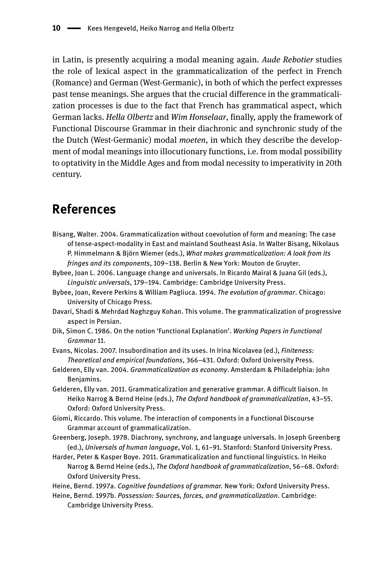in Latin, is presently acquiring a modal meaning again. *Aude Rebotier* studies the role of lexical aspect in the grammaticalization of the perfect in French (Romance) and German (West-Germanic), in both of which the perfect expresses past tense meanings. She argues that the crucial difference in the grammaticalization processes is due to the fact that French has grammatical aspect, which German lacks. *Hella Olbertz* and *Wim Honselaar*, finally, apply the framework of Functional Discourse Grammar in their diachronic and synchronic study of the the Dutch (West-Germanic) modal *moeten*, in which they describe the development of modal meanings into illocutionary functions, i.e. from modal possibility to optativity in the Middle Ages and from modal necessity to imperativity in 20th century.

### **References**

- Bisang, Walter. 2004. Grammaticalization without coevolution of form and meaning: The case of tense-aspect-modality in East and mainland Southeast Asia. In Walter Bisang, Nikolaus P. Himmelmann & Björn Wiemer (eds.), *What makes grammaticalization: A look from its fringes and its components*, 109‒138. Berlin & New York: Mouton de Gruyter.
- Bybee, Joan L. 2006. Language change and universals. In Ricardo Mairal & Juana Gil (eds.), *Linguistic universals*, 179‒194. Cambridge: Cambridge University Press.
- Bybee, Joan, Revere Perkins & William Pagliuca. 1994. *The evolution of grammar*. Chicago: University of Chicago Press.
- Davari, Shadi & Mehrdad Naghzguy Kohan. This volume. The grammaticalization of progressive aspect in Persian.
- Dik, Simon C. 1986. On the notion 'Functional Explanation'. *Working Papers in Functional Grammar* 11.
- Evans, Nicolas. 2007. Insubordination and its uses. In Irina Nicolavea (ed.), *Finiteness: Theoretical and empirical foundations*, 366‒431. Oxford: Oxford University Press.
- Gelderen, Elly van. 2004. *Grammaticalization as economy*. Amsterdam & Philadelphia: John Benjamins.
- Gelderen, Elly van. 2011. Grammaticalization and generative grammar. A difficult liaison. In Heiko Narrog & Bernd Heine (eds.), *The Oxford handbook of grammaticalization*, 43-55. Oxford: Oxford University Press.
- Giomi, Riccardo. This volume. The interaction of components in a Functional Discourse Grammar account of grammaticalization.
- Greenberg, Joseph. 1978. Diachrony, synchrony, and language universals. In Joseph Greenberg (ed.), *Universals of human language*, Vol. 1, 61‒91. Stanford: Stanford University Press.
- Harder, Peter & Kasper Boye. 2011. Grammaticalization and functional linguistics. In Heiko Narrog & Bernd Heine (eds.), *The Oxford handbook of grammaticalization*, 56–68. Oxford: Oxford University Press.

Heine, Bernd. 1997a. *Cognitive foundations of grammar.* New York: Oxford University Press.

Heine, Bernd. 1997b. *Possession: Sources, forces, and grammaticalization*. Cambridge: Cambridge University Press.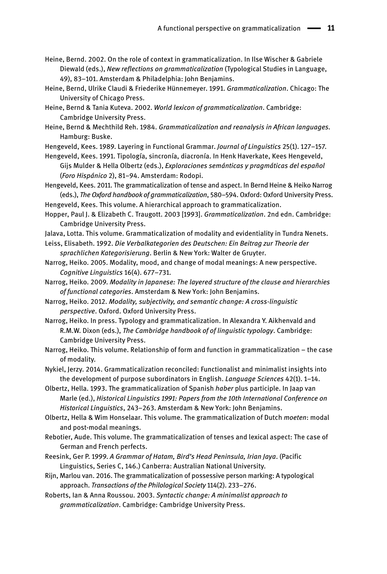Heine, Bernd. 2002. On the role of context in grammaticalization. In Ilse Wischer & Gabriele Diewald (eds.), *New reflections on grammaticalization* (Typological Studies in Language, 49), 83–101. Amsterdam & Philadelphia: John Benjamins.

- Heine, Bernd, Ulrike Claudi & Friederike Hünnemeyer. 1991. *Grammaticalization*. Chicago: The University of Chicago Press.
- Heine, Bernd & Tania Kuteva. 2002. *World lexicon of grammaticalization*. Cambridge: Cambridge University Press.
- Heine, Bernd & Mechthild Reh. 1984. *Grammaticalization and reanalysis in African languages.* Hamburg: Buske.
- Hengeveld, Kees. 1989. Layering in Functional Grammar. *Journal of Linquistics* 25(1). 127-157.
- Hengeveld, Kees. 1991. Tipología, sincronía, diacronía. In Henk Haverkate, Kees Hengeveld, Gijs Mulder & Hella Olbertz (eds.), *Exploraciones semánticas y pragmáticas del español* (*Foro Hispánico* 2), 81‒94. Amsterdam: Rodopi.
- Hengeveld, Kees. 2011. The grammaticalization of tense and aspect. In Bernd Heine & Heiko Narrog (eds.), *The Oxford handbook of grammaticalization*, 580-594. Oxford: Oxford University Press.
- Hengeveld, Kees. This volume. A hierarchical approach to grammaticalization.
- Hopper, Paul J. & Elizabeth C. Traugott. 2003 [1993]. *Grammaticalization*. 2nd edn. Cambridge: Cambridge University Press.
- Jalava, Lotta. This volume. Grammaticalization of modality and evidentiality in Tundra Nenets.
- Leiss, Elisabeth. 1992. *Die Verbalkategorien des Deutschen: Ein Beitrag zur Theorie der sprachlichen Kategorisierung*. Berlin & New York: Walter de Gruyter.
- Narrog, Heiko. 2005. Modality, mood, and change of modal meanings: A new perspective. *Cognitive Linguistics* 16(4). 677–731.
- Narrog, Heiko. 2009. *Modality in Japanese: The layered structure of the clause and hierarchies of functional categories*. Amsterdam & New York: John Benjamins.
- Narrog, Heiko. 2012. *Modality, subjectivity, and semantic change: A cross-linguistic perspective*. Oxford. Oxford University Press.
- Narrog, Heiko. In press. Typology and grammaticalization. In Alexandra Y. Aikhenvald and R.M.W. Dixon (eds.), *The Cambridge handbook of of linguistic typology*. Cambridge: Cambridge University Press.
- Narrog, Heiko. This volume. Relationship of form and function in grammaticalization the case of modality.
- Nykiel, Jerzy. 2014. Grammaticalization reconciled: Functionalist and minimalist insights into the development of purpose subordinators in English. *Language Sciences* 42(1). 1‒14.
- Olbertz, Hella. 1993. The grammaticalization of Spanish *haber* plus participle. In Jaap van Marle (ed.), *Historical Linguistics 1991: Papers from the 10th International Conference on Historical Linguistics*, 243‒263. Amsterdam & New York: John Benjamins.
- Olbertz, Hella & Wim Honselaar. This volume. The grammaticalization of Dutch *moeten*: modal and post-modal meanings.
- Rebotier, Aude. This volume. The grammaticalization of tenses and lexical aspect: The case of German and French perfects.
- Reesink, Ger P. 1999. *A Grammar of Hatam, Bird's Head Peninsula, Irian Jaya*. (Pacific Linguistics, Series C, 146.) Canberra: Australian National University.
- Rijn, Marlou van. 2016. The grammaticalization of possessive person marking: A typological approach. *Transactions of the Philological Society* 114(2). 233–276.
- Roberts, Ian & Anna Roussou. 2003. *Syntactic change: A minimalist approach to grammaticalization*. Cambridge: Cambridge University Press.